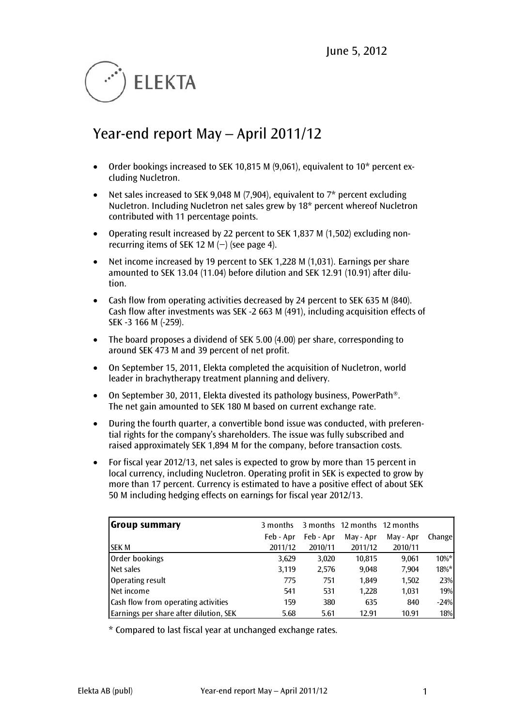

# Year-end report May – April 2011/12

- Order bookings increased to SEK 10,815 M (9,061), equivalent to 10<sup>\*</sup> percent excluding Nucletron.
- Net sales increased to SEK 9,048 M (7,904), equivalent to  $7*$  percent excluding Nucletron. Including Nucletron net sales grew by 18\* percent whereof Nucletron contributed with 11 percentage points.
- Operating result increased by 22 percent to SEK 1,837 M (1,502) excluding nonrecurring items of SEK 12 M  $(-)$  (see page 4).
- Net income increased by 19 percent to SEK 1,228 M (1,031). Earnings per share amounted to SEK 13.04 (11.04) before dilution and SEK 12.91 (10.91) after dilution.
- Cash flow from operating activities decreased by 24 percent to SEK 635 M (840). Cash flow after investments was SEK -2 663 M (491), including acquisition effects of SEK -3 166 M (-259).
- The board proposes a dividend of SEK 5.00 (4.00) per share, corresponding to around SEK 473 M and 39 percent of net profit.
- On September 15, 2011, Elekta completed the acquisition of Nucletron, world leader in brachytherapy treatment planning and delivery.
- On September 30, 2011, Elekta divested its pathology business, PowerPath<sup>®</sup>. The net gain amounted to SEK 180 M based on current exchange rate.
- During the fourth quarter, a convertible bond issue was conducted, with preferential rights for the company's shareholders. The issue was fully subscribed and raised approximately SEK 1,894 M for the company, before transaction costs.
- For fiscal year 2012/13, net sales is expected to grow by more than 15 percent in local currency, including Nucletron. Operating profit in SEK is expected to grow by more than 17 percent. Currency is estimated to have a positive effect of about SEK 50 M including hedging effects on earnings for fiscal year 2012/13.

| <b>Group summary</b>                   | 3 months  |           | 3 months 12 months 12 months |           |         |
|----------------------------------------|-----------|-----------|------------------------------|-----------|---------|
|                                        | Feb - Apr | Feb - Apr | May - Apr                    | May - Apr | Change  |
| ISEK M                                 | 2011/12   | 2010/11   | 2011/12                      | 2010/11   |         |
| Order bookings                         | 3,629     | 3,020     | 10,815                       | 9,061     | $10\%*$ |
| Net sales                              | 3,119     | 2,576     | 9,048                        | 7,904     | $18\%*$ |
| Operating result                       | 775       | 751       | 1.849                        | 1,502     | 23%     |
| Net income                             | 541       | 531       | 1,228                        | 1,031     | 19%     |
| Cash flow from operating activities    | 159       | 380       | 635                          | 840       | $-24%$  |
| Earnings per share after dilution, SEK | 5.68      | 5.61      | 12.91                        | 10.91     | 18%     |

\* Compared to last fiscal year at unchanged exchange rates.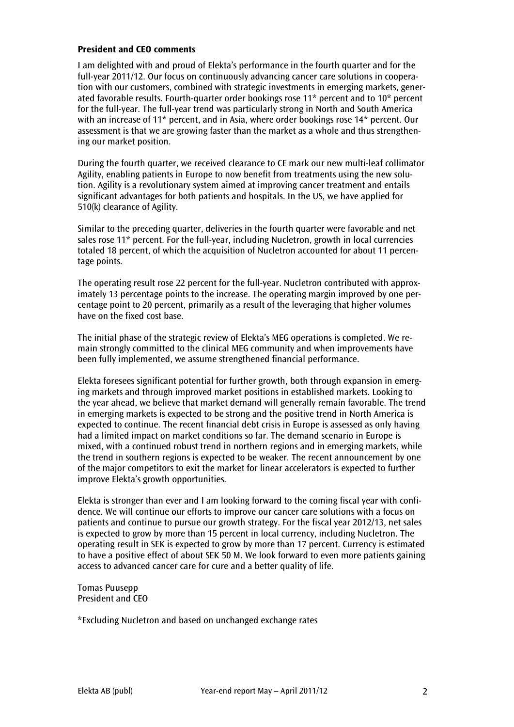#### **President and CEO comments**

I am delighted with and proud of Elekta's performance in the fourth quarter and for the full-year 2011/12. Our focus on continuously advancing cancer care solutions in cooperation with our customers, combined with strategic investments in emerging markets, generated favorable results. Fourth-quarter order bookings rose 11\* percent and to 10\* percent for the full-year. The full-year trend was particularly strong in North and South America with an increase of 11\* percent, and in Asia, where order bookings rose 14\* percent. Our assessment is that we are growing faster than the market as a whole and thus strengthening our market position.

During the fourth quarter, we received clearance to CE mark our new multi-leaf collimator Agility, enabling patients in Europe to now benefit from treatments using the new solution. Agility is a revolutionary system aimed at improving cancer treatment and entails significant advantages for both patients and hospitals. In the US, we have applied for 510(k) clearance of Agility.

Similar to the preceding quarter, deliveries in the fourth quarter were favorable and net sales rose 11\* percent. For the full-year, including Nucletron, growth in local currencies totaled 18 percent, of which the acquisition of Nucletron accounted for about 11 percentage points.

The operating result rose 22 percent for the full-year. Nucletron contributed with approximately 13 percentage points to the increase. The operating margin improved by one percentage point to 20 percent, primarily as a result of the leveraging that higher volumes have on the fixed cost base.

The initial phase of the strategic review of Elekta's MEG operations is completed. We remain strongly committed to the clinical MEG community and when improvements have been fully implemented, we assume strengthened financial performance.

Elekta foresees significant potential for further growth, both through expansion in emerging markets and through improved market positions in established markets. Looking to the year ahead, we believe that market demand will generally remain favorable. The trend in emerging markets is expected to be strong and the positive trend in North America is expected to continue. The recent financial debt crisis in Europe is assessed as only having had a limited impact on market conditions so far. The demand scenario in Europe is mixed, with a continued robust trend in northern regions and in emerging markets, while the trend in southern regions is expected to be weaker. The recent announcement by one of the major competitors to exit the market for linear accelerators is expected to further improve Elekta's growth opportunities.

Elekta is stronger than ever and I am looking forward to the coming fiscal year with confidence. We will continue our efforts to improve our cancer care solutions with a focus on patients and continue to pursue our growth strategy. For the fiscal year 2012/13, net sales is expected to grow by more than 15 percent in local currency, including Nucletron. The operating result in SEK is expected to grow by more than 17 percent. Currency is estimated to have a positive effect of about SEK 50 M. We look forward to even more patients gaining access to advanced cancer care for cure and a better quality of life.

Tomas Puusepp President and CEO

\*Excluding Nucletron and based on unchanged exchange rates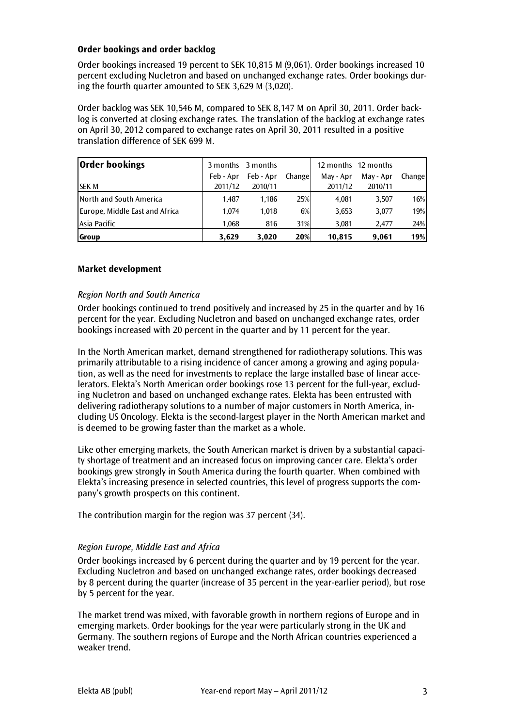## **Order bookings and order backlog**

Order bookings increased 19 percent to SEK 10,815 M (9,061). Order bookings increased 10 percent excluding Nucletron and based on unchanged exchange rates. Order bookings during the fourth quarter amounted to SEK 3,629 M (3,020).

Order backlog was SEK 10,546 M, compared to SEK 8,147 M on April 30, 2011. Order backlog is converted at closing exchange rates. The translation of the backlog at exchange rates on April 30, 2012 compared to exchange rates on April 30, 2011 resulted in a positive translation difference of SEK 699 M.

| <b>Order bookings</b>          |           | 3 months 3 months |        |           | 12 months 12 months |         |
|--------------------------------|-----------|-------------------|--------|-----------|---------------------|---------|
|                                | Feb - Apr | Feb - Apr         | Change | May - Apr | May - Apr           | Changel |
| <b>ISEK M</b>                  | 2011/12   | 2010/11           |        | 2011/12   | 2010/11             |         |
| North and South America        | 1.487     | 1.186             | 25%    | 4.081     | 3,507               | 16%     |
| Europe, Middle East and Africa | 1.074     | 1.018             | 6%     | 3,653     | 3,077               | 19%     |
| Asia Pacific                   | 1.068     | 816               | 31%    | 3,081     | 2.477               | 24%     |
| <b>Group</b>                   | 3,629     | 3.020             | 20%    | 10,815    | 9,061               | 19%     |

## **Market development**

## *Region North and South America*

Order bookings continued to trend positively and increased by 25 in the quarter and by 16 percent for the year. Excluding Nucletron and based on unchanged exchange rates, order bookings increased with 20 percent in the quarter and by 11 percent for the year.

In the North American market, demand strengthened for radiotherapy solutions. This was primarily attributable to a rising incidence of cancer among a growing and aging population, as well as the need for investments to replace the large installed base of linear accelerators. Elekta's North American order bookings rose 13 percent for the full-year, excluding Nucletron and based on unchanged exchange rates. Elekta has been entrusted with delivering radiotherapy solutions to a number of major customers in North America, including US Oncology. Elekta is the second-largest player in the North American market and is deemed to be growing faster than the market as a whole.

Like other emerging markets, the South American market is driven by a substantial capacity shortage of treatment and an increased focus on improving cancer care. Elekta's order bookings grew strongly in South America during the fourth quarter. When combined with Elekta's increasing presence in selected countries, this level of progress supports the company's growth prospects on this continent.

The contribution margin for the region was 37 percent (34).

## *Region Europe, Middle East and Africa*

Order bookings increased by 6 percent during the quarter and by 19 percent for the year. Excluding Nucletron and based on unchanged exchange rates, order bookings decreased by 8 percent during the quarter (increase of 35 percent in the year-earlier period), but rose by 5 percent for the year.

The market trend was mixed, with favorable growth in northern regions of Europe and in emerging markets. Order bookings for the year were particularly strong in the UK and Germany. The southern regions of Europe and the North African countries experienced a weaker trend.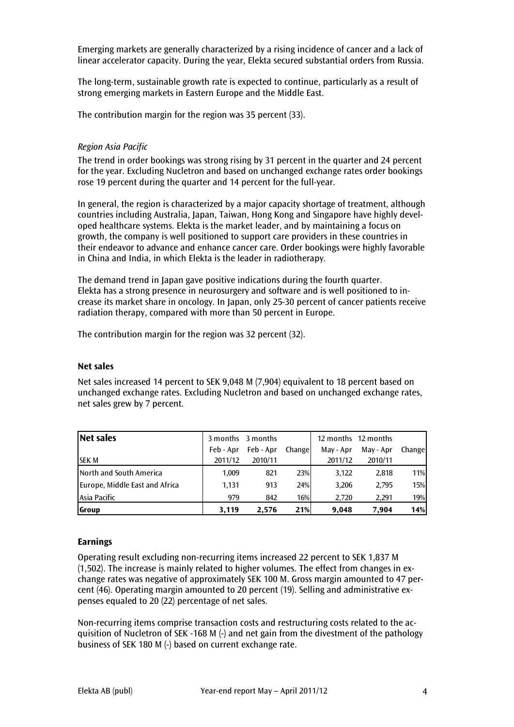Emerging markets are generally characterized by a rising incidence of cancer and a lack of linear accelerator capacity. During the year, Elekta secured substantial orders from Russia.

The long-term, sustainable growth rate is expected to continue, particularly as a result of strong emerging markets in Eastern Europe and the Middle East.

The contribution margin for the region was 35 percent (33).

#### *Region Asia Pacific*

The trend in order bookings was strong rising by 31 percent in the quarter and 24 percent for the year. Excluding Nucletron and based on unchanged exchange rates order bookings rose 19 percent during the quarter and 14 percent for the full-year.

In general, the region is characterized by a major capacity shortage of treatment, although countries including Australia, Japan, Taiwan, Hong Kong and Singapore have highly developed healthcare systems. Elekta is the market leader, and by maintaining a focus on growth, the company is well positioned to support care providers in these countries in their endeavor to advance and enhance cancer care. Order bookings were highly favorable in China and India, in which Elekta is the leader in radiotherapy.

The demand trend in Japan gave positive indications during the fourth quarter. Elekta has a strong presence in neurosurgery and software and is well positioned to increase its market share in oncology. In Japan, only 25-30 percent of cancer patients receive radiation therapy, compared with more than 50 percent in Europe.

The contribution margin for the region was 32 percent (32).

#### **Net sales**

Net sales increased 14 percent to SEK 9,048 M (7,904) equivalent to 18 percent based on unchanged exchange rates. Excluding Nucletron and based on unchanged exchange rates, net sales grew by 7 percent.

| Net sales                      | 3 months 3 months |           |            |           | 12 months 12 months |        |
|--------------------------------|-------------------|-----------|------------|-----------|---------------------|--------|
|                                | Feb - Apr         | Feb - Apr | Change     | May - Apr | May - Apr           | Change |
| <b>ISEK M</b>                  | 2011/12           | 2010/11   |            | 2011/12   | 2010/11             |        |
| <b>North and South America</b> | 1.009             | 821       | 23%        | 3,122     | 2,818               | 11%    |
| Europe, Middle East and Africa | 1.131             | 913       | 24%        | 3,206     | 2,795               | 15%    |
| Asia Pacific                   | 979               | 842       | 16%        | 2.720     | 2.291               | 19%    |
| <b>Group</b>                   | 3,119             | 2.576     | <b>21%</b> | 9,048     | 7.904               | 14%    |

#### **Earnings**

Operating result excluding non-recurring items increased 22 percent to SEK 1,837 M (1,502). The increase is mainly related to higher volumes. The effect from changes in exchange rates was negative of approximately SEK 100 M. Gross margin amounted to 47 percent (46). Operating margin amounted to 20 percent (19). Selling and administrative expenses equaled to 20 (22) percentage of net sales.

Non-recurring items comprise transaction costs and restructuring costs related to the acquisition of Nucletron of SEK -168 M (-) and net gain from the divestment of the pathology business of SEK 180 M (-) based on current exchange rate.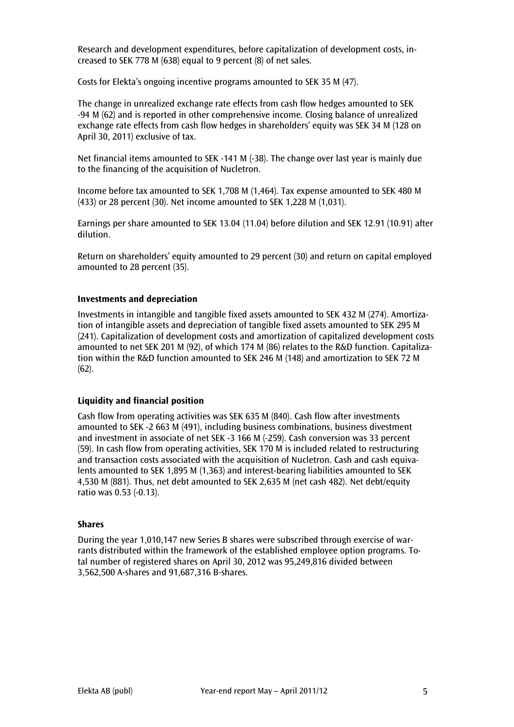Research and development expenditures, before capitalization of development costs, increased to SEK 778 M (638) equal to 9 percent (8) of net sales.

Costs for Elekta's ongoing incentive programs amounted to SEK 35 M (47).

The change in unrealized exchange rate effects from cash flow hedges amounted to SEK -94 M (62) and is reported in other comprehensive income. Closing balance of unrealized exchange rate effects from cash flow hedges in shareholders' equity was SEK 34 M (128 on April 30, 2011) exclusive of tax.

Net financial items amounted to SEK -141 M (-38). The change over last year is mainly due to the financing of the acquisition of Nucletron.

Income before tax amounted to SEK 1,708 M (1,464). Tax expense amounted to SEK 480 M (433) or 28 percent (30). Net income amounted to SEK 1,228 M (1,031).

Earnings per share amounted to SEK 13.04 (11.04) before dilution and SEK 12.91 (10.91) after dilution.

Return on shareholders' equity amounted to 29 percent (30) and return on capital employed amounted to 28 percent (35).

#### **Investments and depreciation**

Investments in intangible and tangible fixed assets amounted to SEK 432 M (274). Amortization of intangible assets and depreciation of tangible fixed assets amounted to SEK 295 M (241). Capitalization of development costs and amortization of capitalized development costs amounted to net SEK 201 M (92), of which 174 M (86) relates to the R&D function. Capitalization within the R&D function amounted to SEK 246 M (148) and amortization to SEK 72 M (62).

#### **Liquidity and financial position**

Cash flow from operating activities was SEK 635 M (840). Cash flow after investments amounted to SEK -2 663 M (491), including business combinations, business divestment and investment in associate of net SEK -3 166 M (-259). Cash conversion was 33 percent (59). In cash flow from operating activities, SEK 170 M is included related to restructuring and transaction costs associated with the acquisition of Nucletron. Cash and cash equivalents amounted to SEK 1,895 M (1,363) and interest-bearing liabilities amounted to SEK 4,530 M (881). Thus, net debt amounted to SEK 2,635 M (net cash 482). Net debt/equity ratio was 0.53 (-0.13).

#### **Shares**

During the year 1,010,147 new Series B shares were subscribed through exercise of warrants distributed within the framework of the established employee option programs. Total number of registered shares on April 30, 2012 was 95,249,816 divided between 3,562,500 A-shares and 91,687,316 B-shares.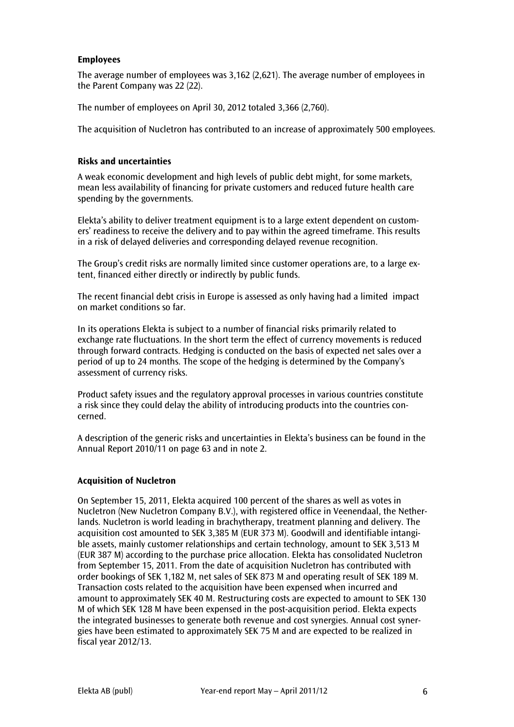## **Employees**

The average number of employees was 3,162 (2,621). The average number of employees in the Parent Company was 22 (22).

The number of employees on April 30, 2012 totaled 3,366 (2,760).

The acquisition of Nucletron has contributed to an increase of approximately 500 employees.

## **Risks and uncertainties**

A weak economic development and high levels of public debt might, for some markets, mean less availability of financing for private customers and reduced future health care spending by the governments.

Elekta's ability to deliver treatment equipment is to a large extent dependent on customers' readiness to receive the delivery and to pay within the agreed timeframe. This results in a risk of delayed deliveries and corresponding delayed revenue recognition.

The Group's credit risks are normally limited since customer operations are, to a large extent, financed either directly or indirectly by public funds.

The recent financial debt crisis in Europe is assessed as only having had a limited impact on market conditions so far.

In its operations Elekta is subject to a number of financial risks primarily related to exchange rate fluctuations. In the short term the effect of currency movements is reduced through forward contracts. Hedging is conducted on the basis of expected net sales over a period of up to 24 months. The scope of the hedging is determined by the Company's assessment of currency risks.

Product safety issues and the regulatory approval processes in various countries constitute a risk since they could delay the ability of introducing products into the countries concerned.

A description of the generic risks and uncertainties in Elekta's business can be found in the Annual Report 2010/11 on page 63 and in note 2.

#### **Acquisition of Nucletron**

On September 15, 2011, Elekta acquired 100 percent of the shares as well as votes in Nucletron (New Nucletron Company B.V.), with registered office in Veenendaal, the Netherlands. Nucletron is world leading in brachytherapy, treatment planning and delivery. The acquisition cost amounted to SEK 3,385 M (EUR 373 M). Goodwill and identifiable intangible assets, mainly customer relationships and certain technology, amount to SEK 3,513 M (EUR 387 M) according to the purchase price allocation. Elekta has consolidated Nucletron from September 15, 2011. From the date of acquisition Nucletron has contributed with order bookings of SEK 1,182 M, net sales of SEK 873 M and operating result of SEK 189 M. Transaction costs related to the acquisition have been expensed when incurred and amount to approximately SEK 40 M. Restructuring costs are expected to amount to SEK 130 M of which SEK 128 M have been expensed in the post-acquisition period. Elekta expects the integrated businesses to generate both revenue and cost synergies. Annual cost synergies have been estimated to approximately SEK 75 M and are expected to be realized in fiscal year 2012/13.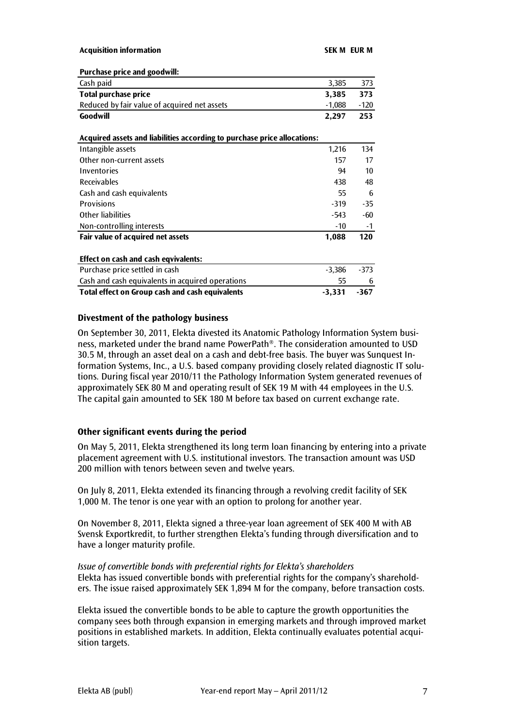| <b>Purchase price and goodwill:</b> |
|-------------------------------------|
|-------------------------------------|

| T ALCHASC PLICE AND SUVAWING                                             |          |        |
|--------------------------------------------------------------------------|----------|--------|
| Cash paid                                                                | 3,385    | 373    |
| Total purchase price                                                     | 3,385    | 373    |
| Reduced by fair value of acquired net assets                             | $-1,088$ | $-120$ |
| Goodwill                                                                 | 2,297    | 253    |
|                                                                          |          |        |
| Acquired assets and liabilities according to purchase price allocations: |          |        |
| Intangible assets                                                        | 1,216    | 134    |
| Other non-current assets                                                 | 157      | 17     |
| Inventories                                                              | 94       | 10     |
| <b>Receivables</b>                                                       | 438      | 48     |
| Cash and cash equivalents                                                | 55       | 6      |
| <b>Provisions</b>                                                        | $-319$   | $-35$  |
| <b>Other liabilities</b>                                                 | -543     | -60    |
| Non-controlling interests                                                | $-10$    | $-1$   |
| Fair value of acquired net assets                                        | 1,088    | 120    |
|                                                                          |          |        |
| Effect on cash and cash eqvivalents:                                     |          |        |
| Purchase price settled in cash                                           | $-3,386$ | $-373$ |
| Cash and cash equivalents in acquired operations                         | 55       | 6      |
| <b>Total effect on Group cash and cash equivalents</b>                   | $-3,331$ | -367   |

#### **Divestment of the pathology business**

On September 30, 2011, Elekta divested its Anatomic Pathology Information System business, marketed under the brand name PowerPath®. The consideration amounted to USD 30.5 M, through an asset deal on a cash and debt-free basis. The buyer was Sunquest Information Systems, Inc., a U.S. based company providing closely related diagnostic IT solutions. During fiscal year 2010/11 the Pathology Information System generated revenues of approximately SEK 80 M and operating result of SEK 19 M with 44 employees in the U.S. The capital gain amounted to SEK 180 M before tax based on current exchange rate.

### **Other significant events during the period**

On May 5, 2011, Elekta strengthened its long term loan financing by entering into a private placement agreement with U.S. institutional investors. The transaction amount was USD 200 million with tenors between seven and twelve years.

On July 8, 2011, Elekta extended its financing through a revolving credit facility of SEK 1,000 M. The tenor is one year with an option to prolong for another year.

On November 8, 2011, Elekta signed a three-year loan agreement of SEK 400 M with AB Svensk Exportkredit, to further strengthen Elekta's funding through diversification and to have a longer maturity profile.

#### *Issue of convertible bonds with preferential rights for Elekta's shareholders* Elekta has issued convertible bonds with preferential rights for the company's shareholders. The issue raised approximately SEK 1,894 M for the company, before transaction costs.

Elekta issued the convertible bonds to be able to capture the growth opportunities the company sees both through expansion in emerging markets and through improved market positions in established markets. In addition, Elekta continually evaluates potential acquisition targets.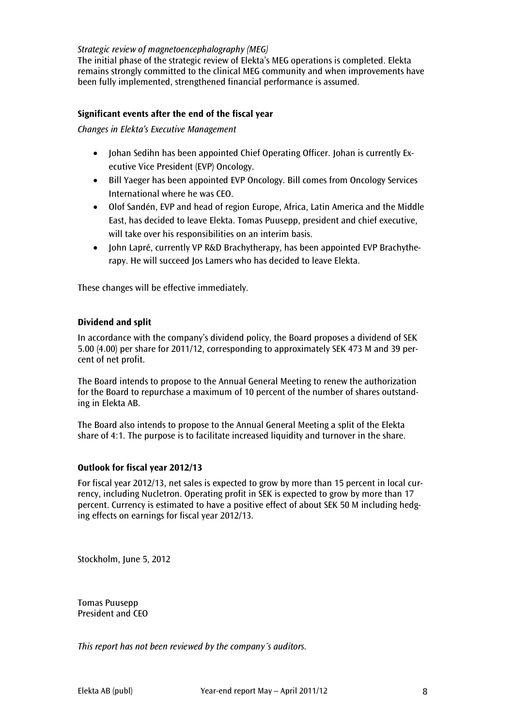## *Strategic review of magnetoencephalography (MEG)*

The initial phase of the strategic review of Elekta's MEG operations is completed. Elekta remains strongly committed to the clinical MEG community and when improvements have been fully implemented, strengthened financial performance is assumed.

## **Significant events after the end of the fiscal year**

*Changes in Elekta's Executive Management* 

- Johan Sedihn has been appointed Chief Operating Officer. Johan is currently Executive Vice President (EVP) Oncology.
- Bill Yaeger has been appointed EVP Oncology. Bill comes from Oncology Services International where he was CEO.
- Olof Sandén, EVP and head of region Europe, Africa, Latin America and the Middle East, has decided to leave Elekta. Tomas Puusepp, president and chief executive, will take over his responsibilities on an interim basis.
- John Lapré, currently VP R&D Brachytherapy, has been appointed EVP Brachytherapy. He will succeed Jos Lamers who has decided to leave Elekta.

These changes will be effective immediately.

## **Dividend and split**

In accordance with the company's dividend policy, the Board proposes a dividend of SEK 5.00 (4.00) per share for 2011/12, corresponding to approximately SEK 473 M and 39 percent of net profit.

The Board intends to propose to the Annual General Meeting to renew the authorization for the Board to repurchase a maximum of 10 percent of the number of shares outstanding in Elekta AB.

The Board also intends to propose to the Annual General Meeting a split of the Elekta share of 4:1. The purpose is to facilitate increased liquidity and turnover in the share.

#### **Outlook for fiscal year 2012/13**

For fiscal year 2012/13, net sales is expected to grow by more than 15 percent in local currency, including Nucletron. Operating profit in SEK is expected to grow by more than 17 percent. Currency is estimated to have a positive effect of about SEK 50 M including hedging effects on earnings for fiscal year 2012/13.

Stockholm, June 5, 2012

Tomas Puusepp President and CEO

*This report has not been reviewed by the company´s auditors.*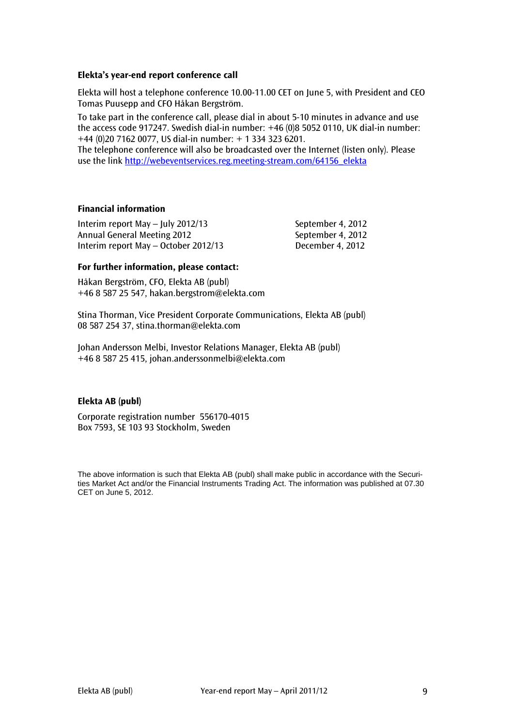## **Elekta's year-end report conference call**

Elekta will host a telephone conference 10.00-11.00 CET on June 5, with President and CEO Tomas Puusepp and CFO Håkan Bergström.

To take part in the conference call, please dial in about 5-10 minutes in advance and use the access code 917247. Swedish dial-in number: +46 (0)8 5052 0110, UK dial-in number: +44 (0)20 7162 0077, US dial-in number: + 1 334 323 6201.

The telephone conference will also be broadcasted over the Internet (listen only). Please use the link [http://webeventservices.reg.meeting-stream.com/64156\\_elekta](http://webeventservices.reg.meeting-stream.com/64156_elekta)

## **Financial information**

Interim report May – July 2012/13 September 4, 2012 Annual General Meeting 2012 September 4, 2012 Interim report May – October 2012/13 December 4, 2012

## **For further information, please contact:**

Håkan Bergström, CFO, Elekta AB (publ) +46 8 587 25 547, hakan.bergstrom@elekta.com

Stina Thorman, Vice President Corporate Communications, Elekta AB (publ) 08 587 254 37, stina.thorman@elekta.com

Johan Andersson Melbi, Investor Relations Manager, Elekta AB (publ) +46 8 587 25 415, [johan.anderssonmelbi@elekta.com](mailto:johan.anderssonmelbi@elekta.com)

#### **Elekta AB (publ)**

Corporate registration number 556170-4015 Box 7593, SE 103 93 Stockholm, Sweden

The above information is such that Elekta AB (publ) shall make public in accordance with the Securities Market Act and/or the Financial Instruments Trading Act. The information was published at 07.30 CET on June 5, 2012.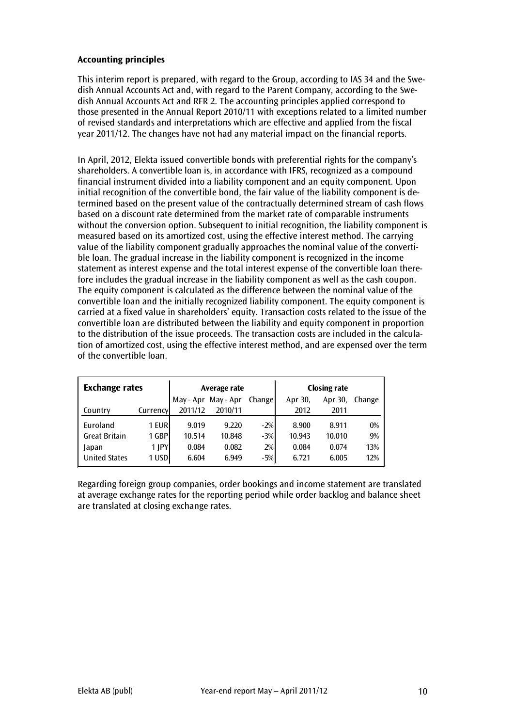## **Accounting principles**

This interim report is prepared, with regard to the Group, according to IAS 34 and the Swedish Annual Accounts Act and, with regard to the Parent Company, according to the Swedish Annual Accounts Act and RFR 2. The accounting principles applied correspond to those presented in the Annual Report 2010/11 with exceptions related to a limited number of revised standards and interpretations which are effective and applied from the fiscal year 2011/12. The changes have not had any material impact on the financial reports.

In April, 2012, Elekta issued convertible bonds with preferential rights for the company's shareholders. A convertible loan is, in accordance with IFRS, recognized as a compound financial instrument divided into a liability component and an equity component. Upon initial recognition of the convertible bond, the fair value of the liability component is determined based on the present value of the contractually determined stream of cash flows based on a discount rate determined from the market rate of comparable instruments without the conversion option. Subsequent to initial recognition, the liability component is measured based on its amortized cost, using the effective interest method. The carrying value of the liability component gradually approaches the nominal value of the convertible loan. The gradual increase in the liability component is recognized in the income statement as interest expense and the total interest expense of the convertible loan therefore includes the gradual increase in the liability component as well as the cash coupon. The equity component is calculated as the difference between the nominal value of the convertible loan and the initially recognized liability component. The equity component is carried at a fixed value in shareholders' equity. Transaction costs related to the issue of the convertible loan are distributed between the liability and equity component in proportion to the distribution of the issue proceeds. The transaction costs are included in the calculation of amortized cost, using the effective interest method, and are expensed over the term of the convertible loan.

| <b>Exchange rates</b> |           |         | Average rate        |         | <b>Closing rate</b> |         |        |  |
|-----------------------|-----------|---------|---------------------|---------|---------------------|---------|--------|--|
|                       |           |         | May - Apr May - Apr | Changel | Apr 30,             | Apr 30, | Change |  |
| Country               | Currencyl | 2011/12 | 2010/11             |         | 2012                | 2011    |        |  |
| Euroland              | 1 EURI    | 9.019   | 9.220               | $-2%$   | 8.900               | 8.911   | 0%     |  |
| <b>Great Britain</b>  | 1 GBP     | 10.514  | 10.848              | $-3%$   | 10.943              | 10.010  | 9%     |  |
| Japan                 | 1   PY    | 0.084   | 0.082               | 2%      | 0.084               | 0.074   | 13%    |  |
| <b>United States</b>  | 1 USD     | 6.604   | 6.949               | $-5%$   | 6.721               | 6.005   | 12%    |  |

Regarding foreign group companies, order bookings and income statement are translated at average exchange rates for the reporting period while order backlog and balance sheet are translated at closing exchange rates.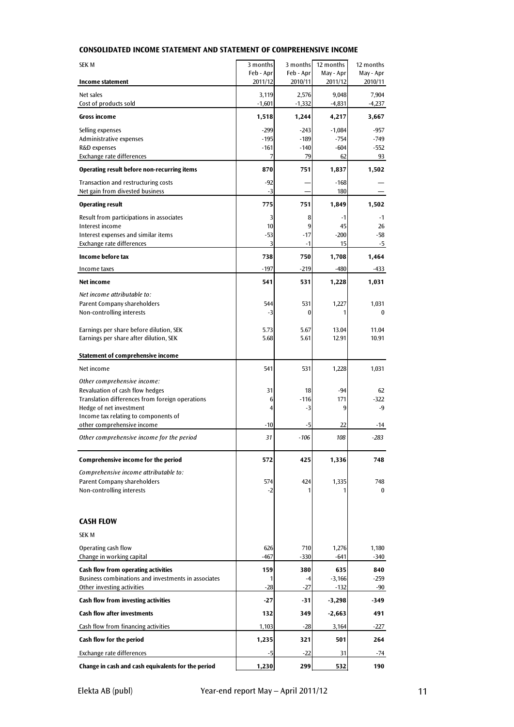| <b>SEK M</b>                                                           | 3 months             | 3 months             | 12 months            | 12 months            |
|------------------------------------------------------------------------|----------------------|----------------------|----------------------|----------------------|
| Income statement                                                       | Feb - Apr<br>2011/12 | Feb - Apr<br>2010/11 | May - Apr<br>2011/12 | May - Apr<br>2010/11 |
| Net sales                                                              | 3,119                | 2,576                | 9,048                | 7,904                |
| Cost of products sold                                                  | $-1,601$             | $-1,332$             | $-4,831$             | $-4,237$             |
| Gross income                                                           | 1,518                | 1,244                | 4,217                | 3,667                |
| Selling expenses                                                       | $-299$               | $-243$               | $-1,084$             | $-957$               |
| Administrative expenses                                                | $-195$               | $-189$               | $-754$               | $-749$               |
| R&D expenses                                                           | $-161$               | $-140$               | $-604$               | $-552$               |
| Exchange rate differences                                              | 7                    | 79                   | 62                   | 93                   |
| Operating result before non-recurring items                            | 870                  | 751                  | 1,837                | 1,502                |
| Transaction and restructuring costs<br>Net gain from divested business | $-92$<br>$-3$        |                      | $-168$<br>180        |                      |
| <b>Operating result</b>                                                | 775                  | 751                  | 1,849                | 1,502                |
| Result from participations in associates                               | 3                    | 8                    | $-1$                 | $-1$                 |
| Interest income                                                        | 10                   | 9                    | 45                   | 26                   |
| Interest expenses and similar items<br>Exchange rate differences       | $-53$<br>3           | $-17$<br>$-1$        | $-200$<br>15         | -58<br>-5            |
| Income before tax                                                      | 738                  | 750                  | 1,708                | 1,464                |
| Income taxes                                                           | $-197$               | $-219$               | $-480$               | -433                 |
| Net income                                                             | 541                  | 531                  | 1,228                | 1,031                |
| Net income attributable to:                                            |                      |                      |                      |                      |
| Parent Company shareholders                                            | 544                  | 531                  | 1,227                | 1,031                |
| Non-controlling interests                                              | $-3$                 | $\bf{0}$             | 1                    | $\bf{0}$             |
|                                                                        |                      |                      |                      |                      |
| Earnings per share before dilution, SEK                                | 5.73                 | 5.67                 | 13.04                | 11.04                |
| Earnings per share after dilution, SEK                                 | 5.68                 | 5.61                 | 12.91                | 10.91                |
| Statement of comprehensive income                                      |                      |                      |                      |                      |
| Net income                                                             | 541                  | 531                  | 1,228                | 1,031                |
| Other comprehensive income:                                            |                      |                      |                      |                      |
| Revaluation of cash flow hedges                                        | 31                   | 18                   | $-94$                | 62                   |
| Translation differences from foreign operations                        | 6                    | $-116$               | 171                  | $-322$               |
| Hedge of net investment<br>Income tax relating to components of        | 4                    | $-3$                 | 9                    | -9                   |
| other comprehensive income                                             | $-10$                | -5                   | 22                   | -14                  |
| Other comprehensive income for the period                              | 31                   | $-106$               | 108                  | $-283$               |
|                                                                        |                      |                      |                      |                      |
| Comprehensive income for the period                                    | 572                  | 425                  | 1,336                | 748                  |
| Comprehensive income attributable to:                                  |                      | 424                  |                      | 748                  |
| Parent Company shareholders<br>Non-controlling interests               | 574<br>-2            |                      | 1,335                | $\bf{0}$             |
|                                                                        |                      |                      |                      |                      |
|                                                                        |                      |                      |                      |                      |
| CASH FLOW                                                              |                      |                      |                      |                      |
| <b>SEK M</b>                                                           |                      |                      |                      |                      |
| Operating cash flow                                                    | 626                  | 710                  | 1,276                | 1,180                |
| Change in working capital                                              | $-467$               | $-330$               | $-641$               | $-340$               |
| <b>Cash flow from operating activities</b>                             | 159                  | 380                  | 635                  | 840                  |
| Business combinations and investments in associates                    |                      | -4                   | $-3,166$             | $-259$               |
| Other investing activities                                             | $-28$                | $-27$                | $-132$               | -90                  |
| Cash flow from investing activities                                    | $-27$                | $-31$                | $-3,298$             | -349                 |
| <b>Cash flow after investments</b>                                     | 132                  | 349                  | $-2,663$             | 491                  |
| Cash flow from financing activities                                    | 1,103                | $-28$                | 3,164                | $-227$               |
| Cash flow for the period                                               | 1,235                | 321                  | 501                  | 264                  |
| Exchange rate differences                                              | -5                   | $-22$                | 31                   | -74                  |
| Change in cash and cash equivalents for the period                     | 1,230                | 299                  | 532                  | 190                  |

## **CONSOLIDATED INCOME STATEMENT AND STATEMENT OF COMPREHENSIVE INCOME**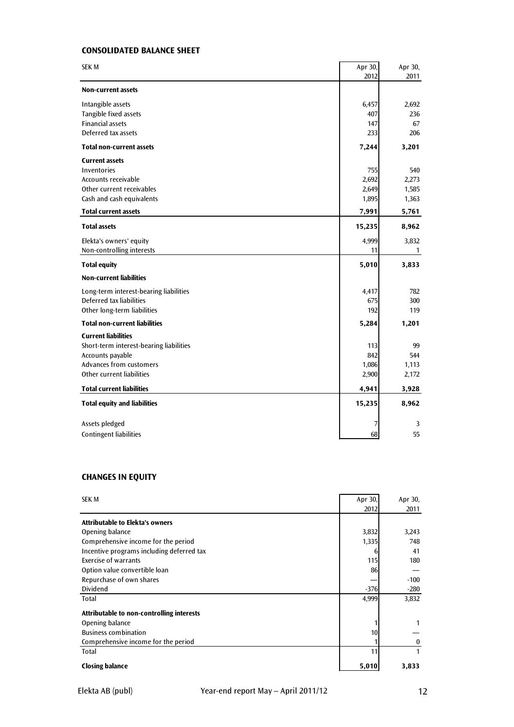## **CONSOLIDATED BALANCE SHEET**

| 2012<br>2011<br><b>Non-current assets</b><br>2,692<br>Intangible assets<br>6,457<br>Tangible fixed assets<br>407<br>236<br><b>Financial assets</b><br>67<br>147<br>Deferred tax assets<br>233<br>206<br><b>Total non-current assets</b><br>3,201<br>7,244<br><b>Current assets</b><br>Inventories<br>755<br>540<br>Accounts receivable<br>2,692<br>2,273<br>Other current receivables<br>1,585<br>2,649<br>Cash and cash equivalents<br>1,895<br>1,363<br><b>Total current assets</b><br>5,761<br>7,991<br><b>Total assets</b><br>8,962<br>15,235<br>Elekta's owners' equity<br>4,999<br>3,832<br>Non-controlling interests<br>11<br>1<br><b>Total equity</b><br>5,010<br>3,833<br><b>Non-current liabilities</b><br>Long-term interest-bearing liabilities<br>4,417<br>782<br>Deferred tax liabilities<br>300<br>675<br>Other long-term liabilities<br>192<br>119<br><b>Total non-current liabilities</b><br>5,284<br>1,201<br><b>Current liabilities</b><br>Short-term interest-bearing liabilities<br>113<br>99 |
|--------------------------------------------------------------------------------------------------------------------------------------------------------------------------------------------------------------------------------------------------------------------------------------------------------------------------------------------------------------------------------------------------------------------------------------------------------------------------------------------------------------------------------------------------------------------------------------------------------------------------------------------------------------------------------------------------------------------------------------------------------------------------------------------------------------------------------------------------------------------------------------------------------------------------------------------------------------------------------------------------------------------|
|                                                                                                                                                                                                                                                                                                                                                                                                                                                                                                                                                                                                                                                                                                                                                                                                                                                                                                                                                                                                                    |
|                                                                                                                                                                                                                                                                                                                                                                                                                                                                                                                                                                                                                                                                                                                                                                                                                                                                                                                                                                                                                    |
|                                                                                                                                                                                                                                                                                                                                                                                                                                                                                                                                                                                                                                                                                                                                                                                                                                                                                                                                                                                                                    |
|                                                                                                                                                                                                                                                                                                                                                                                                                                                                                                                                                                                                                                                                                                                                                                                                                                                                                                                                                                                                                    |
|                                                                                                                                                                                                                                                                                                                                                                                                                                                                                                                                                                                                                                                                                                                                                                                                                                                                                                                                                                                                                    |
|                                                                                                                                                                                                                                                                                                                                                                                                                                                                                                                                                                                                                                                                                                                                                                                                                                                                                                                                                                                                                    |
|                                                                                                                                                                                                                                                                                                                                                                                                                                                                                                                                                                                                                                                                                                                                                                                                                                                                                                                                                                                                                    |
|                                                                                                                                                                                                                                                                                                                                                                                                                                                                                                                                                                                                                                                                                                                                                                                                                                                                                                                                                                                                                    |
|                                                                                                                                                                                                                                                                                                                                                                                                                                                                                                                                                                                                                                                                                                                                                                                                                                                                                                                                                                                                                    |
|                                                                                                                                                                                                                                                                                                                                                                                                                                                                                                                                                                                                                                                                                                                                                                                                                                                                                                                                                                                                                    |
|                                                                                                                                                                                                                                                                                                                                                                                                                                                                                                                                                                                                                                                                                                                                                                                                                                                                                                                                                                                                                    |
|                                                                                                                                                                                                                                                                                                                                                                                                                                                                                                                                                                                                                                                                                                                                                                                                                                                                                                                                                                                                                    |
|                                                                                                                                                                                                                                                                                                                                                                                                                                                                                                                                                                                                                                                                                                                                                                                                                                                                                                                                                                                                                    |
|                                                                                                                                                                                                                                                                                                                                                                                                                                                                                                                                                                                                                                                                                                                                                                                                                                                                                                                                                                                                                    |
|                                                                                                                                                                                                                                                                                                                                                                                                                                                                                                                                                                                                                                                                                                                                                                                                                                                                                                                                                                                                                    |
|                                                                                                                                                                                                                                                                                                                                                                                                                                                                                                                                                                                                                                                                                                                                                                                                                                                                                                                                                                                                                    |
|                                                                                                                                                                                                                                                                                                                                                                                                                                                                                                                                                                                                                                                                                                                                                                                                                                                                                                                                                                                                                    |
|                                                                                                                                                                                                                                                                                                                                                                                                                                                                                                                                                                                                                                                                                                                                                                                                                                                                                                                                                                                                                    |
|                                                                                                                                                                                                                                                                                                                                                                                                                                                                                                                                                                                                                                                                                                                                                                                                                                                                                                                                                                                                                    |
|                                                                                                                                                                                                                                                                                                                                                                                                                                                                                                                                                                                                                                                                                                                                                                                                                                                                                                                                                                                                                    |
|                                                                                                                                                                                                                                                                                                                                                                                                                                                                                                                                                                                                                                                                                                                                                                                                                                                                                                                                                                                                                    |
|                                                                                                                                                                                                                                                                                                                                                                                                                                                                                                                                                                                                                                                                                                                                                                                                                                                                                                                                                                                                                    |
|                                                                                                                                                                                                                                                                                                                                                                                                                                                                                                                                                                                                                                                                                                                                                                                                                                                                                                                                                                                                                    |
|                                                                                                                                                                                                                                                                                                                                                                                                                                                                                                                                                                                                                                                                                                                                                                                                                                                                                                                                                                                                                    |
| 842<br>Accounts payable<br>544                                                                                                                                                                                                                                                                                                                                                                                                                                                                                                                                                                                                                                                                                                                                                                                                                                                                                                                                                                                     |
| Advances from customers<br>1,086<br>1,113                                                                                                                                                                                                                                                                                                                                                                                                                                                                                                                                                                                                                                                                                                                                                                                                                                                                                                                                                                          |
| Other current liabilities<br>2,172<br>2,900                                                                                                                                                                                                                                                                                                                                                                                                                                                                                                                                                                                                                                                                                                                                                                                                                                                                                                                                                                        |
| <b>Total current liabilities</b><br>3,928<br>4,941                                                                                                                                                                                                                                                                                                                                                                                                                                                                                                                                                                                                                                                                                                                                                                                                                                                                                                                                                                 |
| <b>Total equity and liabilities</b><br>15,235<br>8,962                                                                                                                                                                                                                                                                                                                                                                                                                                                                                                                                                                                                                                                                                                                                                                                                                                                                                                                                                             |
| Assets pledged<br>3<br>7                                                                                                                                                                                                                                                                                                                                                                                                                                                                                                                                                                                                                                                                                                                                                                                                                                                                                                                                                                                           |
| <b>Contingent liabilities</b><br>55<br>68                                                                                                                                                                                                                                                                                                                                                                                                                                                                                                                                                                                                                                                                                                                                                                                                                                                                                                                                                                          |

## **CHANGES IN EQUITY**

| <b>SEK M</b>                              | Apr 30, | Apr 30,  |
|-------------------------------------------|---------|----------|
|                                           | 2012    | 2011     |
| <b>Attributable to Elekta's owners</b>    |         |          |
| Opening balance                           | 3,832   | 3,243    |
| Comprehensive income for the period       | 1,335   | 748      |
| Incentive programs including deferred tax | 6       | 41       |
| Exercise of warrants                      | 115     | 180      |
| Option value convertible loan             | 86      |          |
| Repurchase of own shares                  |         | $-100$   |
| Dividend                                  | $-376$  | -280     |
| Total                                     | 4,999   | 3,832    |
| Attributable to non-controlling interests |         |          |
| Opening balance                           |         |          |
| <b>Business combination</b>               | 10      |          |
| Comprehensive income for the period       |         | $\bf{0}$ |
| Total                                     | 11      | 1        |
| <b>Closing balance</b>                    | 5,010   | 3,833    |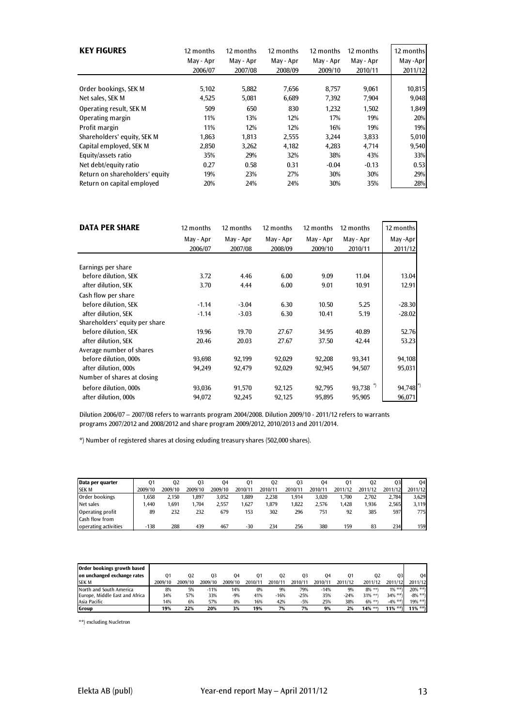| <b>KEY FIGURES</b>             | 12 months<br>May - Apr<br>2006/07 | 12 months<br>May - Apr<br>2007/08 | 12 months<br>May - Apr<br>2008/09 | 12 months<br>May - Apr<br>2009/10 | 12 months<br>May - Apr<br>2010/11 | 12 months<br>May-Apr<br>2011/12 |
|--------------------------------|-----------------------------------|-----------------------------------|-----------------------------------|-----------------------------------|-----------------------------------|---------------------------------|
|                                |                                   |                                   |                                   |                                   |                                   |                                 |
| Order bookings, SEK M          | 5,102                             | 5,882                             | 7.656                             | 8.757                             | 9,061                             | 10,815                          |
| Net sales, SEK M               | 4,525                             | 5,081                             | 6,689                             | 7,392                             | 7,904                             | 9,048                           |
| Operating result, SEK M        | 509                               | 650                               | 830                               | 1,232                             | 1,502                             | 1,849                           |
| Operating margin               | 11%                               | 13%                               | 12%                               | 17%                               | 19%                               | 20%                             |
| Profit margin                  | 11%                               | 12%                               | 12%                               | 16%                               | 19%                               | 19%                             |
| Shareholders' equity, SEK M    | 1.863                             | 1.813                             | 2,555                             | 3.244                             | 3,833                             | 5,010                           |
| Capital employed, SEK M        | 2,850                             | 3,262                             | 4,182                             | 4,283                             | 4,714                             | 9,540                           |
| Equity/assets ratio            | 35%                               | 29%                               | 32%                               | 38%                               | 43%                               | 33%                             |
| Net debt/equity ratio          | 0.27                              | 0.58                              | 0.31                              | $-0.04$                           | $-0.13$                           | 0.53                            |
| Return on shareholders' equity | 19%                               | 23%                               | 27%                               | 30%                               | 30%                               | 29%                             |
| Return on capital employed     | 20%                               | 24%                               | 24%                               | 30%                               | 35%                               | 28%                             |

| <b>DATA PER SHARE</b>          | 12 months | 12 months | 12 months | 12 months | 12 months | 12 months |
|--------------------------------|-----------|-----------|-----------|-----------|-----------|-----------|
|                                | May - Apr | May - Apr | May - Apr | May - Apr | May - Apr | May -Apr  |
|                                | 2006/07   | 2007/08   | 2008/09   | 2009/10   | 2010/11   | 2011/12   |
|                                |           |           |           |           |           |           |
| Earnings per share             |           |           |           |           |           |           |
| before dilution, SEK           | 3.72      | 4.46      | 6.00      | 9.09      | 11.04     | 13.04     |
| after dilution, SEK            | 3.70      | 4.44      | 6.00      | 9.01      | 10.91     | 12.91     |
| Cash flow per share            |           |           |           |           |           |           |
| before dilution, SEK           | $-1.14$   | $-3.04$   | 6.30      | 10.50     | 5.25      | $-28.30$  |
| after dilution, SEK            | $-1.14$   | $-3.03$   | 6.30      | 10.41     | 5.19      | $-28.02$  |
| Shareholders' equity per share |           |           |           |           |           |           |
| before dilution. SEK           | 19.96     | 19.70     | 27.67     | 34.95     | 40.89     | 52.76     |
| after dilution, SEK            | 20.46     | 20.03     | 27.67     | 37.50     | 42.44     | 53.23     |
| Average number of shares       |           |           |           |           |           |           |
| before dilution, 000s          | 93,698    | 92,199    | 92,029    | 92,208    | 93,341    | 94,108    |
| after dilution, 000s           | 94,249    | 92,479    | 92,029    | 92,945    | 94,507    | 95,031    |
| Number of shares at closing    |           |           |           |           |           |           |
| before dilution, 000s          | 93,036    | 91,570    | 92,125    | 92,795    | 93,738    | 94,748    |
| after dilution, 000s           | 94,072    | 92,245    | 92,125    | 95,895    | 95,905    | 96,071    |

Dilution 2006/07 – 2007/08 refers to warrants program 2004/2008. Dilution 2009/10 - 2011/12 refers to warrants programs 2007/2012 and 2008/2012 and share program 2009/2012, 2010/2013 and 2011/2014.

\*) Number of registered shares at closing exluding treasury shares (502,000 shares).

| Data per quarter      | 01      | 02      | 03      | 04      |         | 02      | 03      | 04      | 01      | 02      | 03      | 04      |
|-----------------------|---------|---------|---------|---------|---------|---------|---------|---------|---------|---------|---------|---------|
| <b>SEK M</b>          | 2009/10 | 2009/10 | 2009/10 | 2009/10 | 2010/11 | 2010/11 | 2010/11 | 2010/11 | 2011/12 | 2011/12 | 2011/12 | 2011/12 |
| Order bookings        | 1.658   | 2.150   | 1.897   | 3.052   | .889    | 2.238   | 1.914   | 3.020   | .700    | 2.702   | 2.784   | 3.629   |
| Net sales             | 1.440   | 1.691   | 1.704   | 2.557   | 1.627   | 1.879   | 1.822   | 2.576   | .428    | 1.936   | 2.565   | 3,119   |
| Operating profit      | 89      | 232     | 232     | 679     | 153     | 302     | 296     | 751     | 92      | 385     | 597     | 775     |
| <b>Cash flow from</b> |         |         |         |         |         |         |         |         |         |         |         |         |
| operating activities  | $-138$  | 288     | 439     | 467     | $-30$   | 234     | 256     | 380     | 159     | 83      | 234     | 159     |

| Order bookings growth based<br>on unchanged exchange rates | 01      | 02      | 03      | 04      |         | 02      | 03      | 04      | 01      | 02         | 03         | 04           |
|------------------------------------------------------------|---------|---------|---------|---------|---------|---------|---------|---------|---------|------------|------------|--------------|
| <b>SEKM</b>                                                | 2009/10 | 2009/10 | 2009/10 | 2009/10 | 2010/11 | 2010/11 | 2010/11 | 2010/11 | 2011/12 | 2011/12    | 2011/12    | 2011/12      |
| North and South America                                    | 8%      | 5%      | $-11%$  | 14%     | 0%      | 9%      | 79%     | $-14%$  | 9%      | $8\%$ **)  | $1\% * *$  | $20\% **$    |
| Europe, Middle East and Africa                             | 34%     | 57%     | 33%     | $-9%$   | 41%     | $-16%$  | $-25%$  | 35%     | $-24%$  | 31% **     | $34\% **$  | $-8\% * *$ ) |
| Asia Pacific                                               | 14%     | 6%      | 57%     | 0%      | 16%     | 42%     | $-5%$   | 25%     | 38%     | $6\%$ **   | $-4\% **$  | $19\%$ **)   |
| Group                                                      | 19%     | 22%     | 20%     | 3%      | 19%     | 7%      | 7%      | 9%      | 2%      | $14\%$ **) | $11\%$ **) | $11\%$ **)   |

\*\*) excluding Nucletron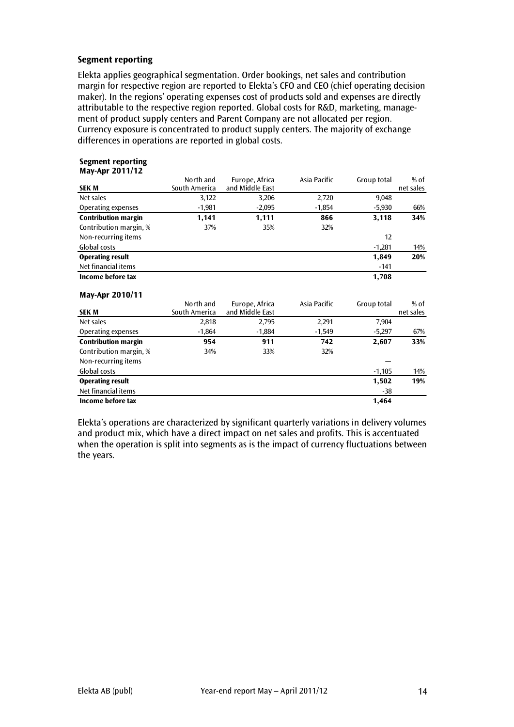## **Segment reporting**

Elekta applies geographical segmentation. Order bookings, net sales and contribution margin for respective region are reported to Elekta's CFO and CEO (chief operating decision maker). In the regions' operating expenses cost of products sold and expenses are directly attributable to the respective region reported. Global costs for R&D, marketing, management of product supply centers and Parent Company are not allocated per region. Currency exposure is concentrated to product supply centers. The majority of exchange differences in operations are reported in global costs.

#### **Segment reporting May-Apr 2011/12**

|                            | North and     | Europe, Africa  | Asia Pacific | Group total | $%$ of    |
|----------------------------|---------------|-----------------|--------------|-------------|-----------|
| <b>SEK M</b>               | South America | and Middle East |              |             | net sales |
| Net sales                  | 3,122         | 3,206           | 2,720        | 9,048       |           |
| Operating expenses         | $-1,981$      | $-2,095$        | $-1,854$     | $-5,930$    | 66%       |
| <b>Contribution margin</b> | 1,141         | 1,111           | 866          | 3,118       | 34%       |
| Contribution margin, %     | 37%           | 35%             | 32%          |             |           |
| Non-recurring items        |               |                 |              | 12          |           |
| Global costs               |               |                 |              | $-1,281$    | 14%       |
| <b>Operating result</b>    |               |                 |              | 1,849       | 20%       |
| Net financial items        |               |                 |              | $-141$      |           |
| Income before tax          |               |                 |              | 1,708       |           |
| May-Apr 2010/11            |               |                 |              |             |           |
|                            | North and     | Europe, Africa  | Asia Pacific | Group total | % of      |
| <b>SEKM</b>                | South America | and Middle East |              |             | net sales |
| Net sales                  | 2,818         | 2,795           | 2,291        | 7,904       |           |
| Operating expenses         | $-1,864$      | $-1,884$        | $-1,549$     | $-5,297$    | 67%       |
| <b>Contribution margin</b> | 954           | 911             | 742          | 2,607       | 33%       |
| Contribution margin, %     | 34%           | 33%             | 32%          |             |           |
| Non-recurring items        |               |                 |              |             |           |
| Global costs               |               |                 |              | $-1,105$    | 14%       |
| <b>Operating result</b>    |               |                 |              | 1,502       | 19%       |
| Net financial items        |               |                 |              | -38         |           |
| Income before tax          |               |                 |              | 1,464       |           |

Elekta's operations are characterized by significant quarterly variations in delivery volumes and product mix, which have a direct impact on net sales and profits. This is accentuated when the operation is split into segments as is the impact of currency fluctuations between the years.